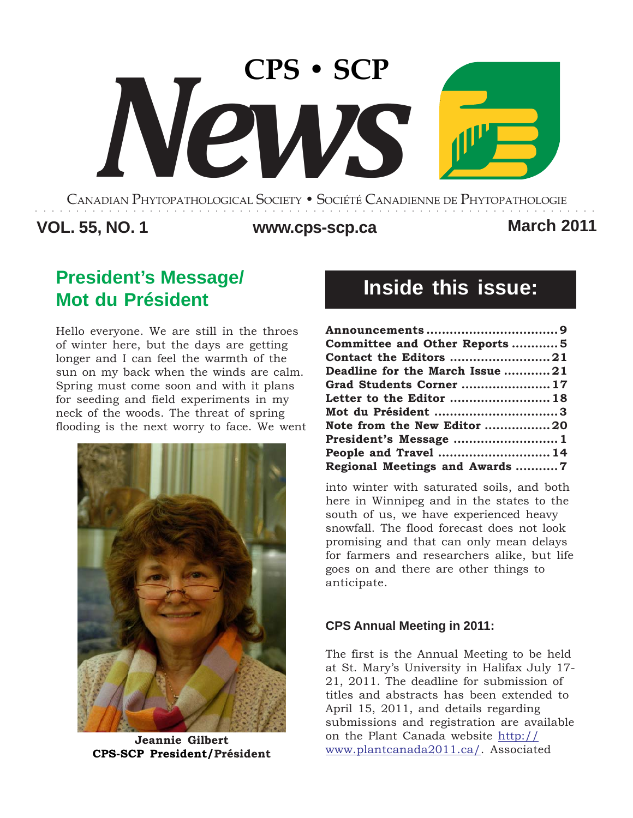# **CPS • SCP** *News*

CANADIAN PHYTOPATHOLOGICAL SOCIETY **•** SOCIÉTÉ CANADIENNE DE PHYTOPATHOLOGIE ○○○○○○○○○○○○○○○○○○○○○○○○○○○○○○○○○○○○○○○○○○○○○○○○○○○○○○○○○○○○○○○○○○○○○

## **VOL. 55, NO. 1 www.cps-scp.ca March 2011**

## **President's Message/ Mot du Président**

Hello everyone. We are still in the throes of winter here, but the days are getting longer and I can feel the warmth of the sun on my back when the winds are calm. Spring must come soon and with it plans for seeding and field experiments in my neck of the woods. The threat of spring flooding is the next worry to face. We went



**Jeannie Gilbert CPS-SCP President/Président**

# **Inside this issue:**

| Committee and Other Reports5    |  |
|---------------------------------|--|
|                                 |  |
| Deadline for the March Issue 21 |  |
| Grad Students Corner  17        |  |
| Letter to the Editor  18        |  |
| Mot du Président 3              |  |
| Note from the New Editor 20     |  |
| President's Message 1           |  |
| People and Travel  14           |  |
| Regional Meetings and Awards 7  |  |

into winter with saturated soils, and both here in Winnipeg and in the states to the south of us, we have experienced heavy snowfall. The flood forecast does not look promising and that can only mean delays for farmers and researchers alike, but life goes on and there are other things to anticipate.

#### **CPS Annual Meeting in 2011:**

The first is the Annual Meeting to be held at St. Mary's University in Halifax July 17- 21, 2011. The deadline for submission of titles and abstracts has been extended to April 15, 2011, and details regarding submissions and registration are available on the Plant Canada website http:// www.plantcanada2011.ca/. Associated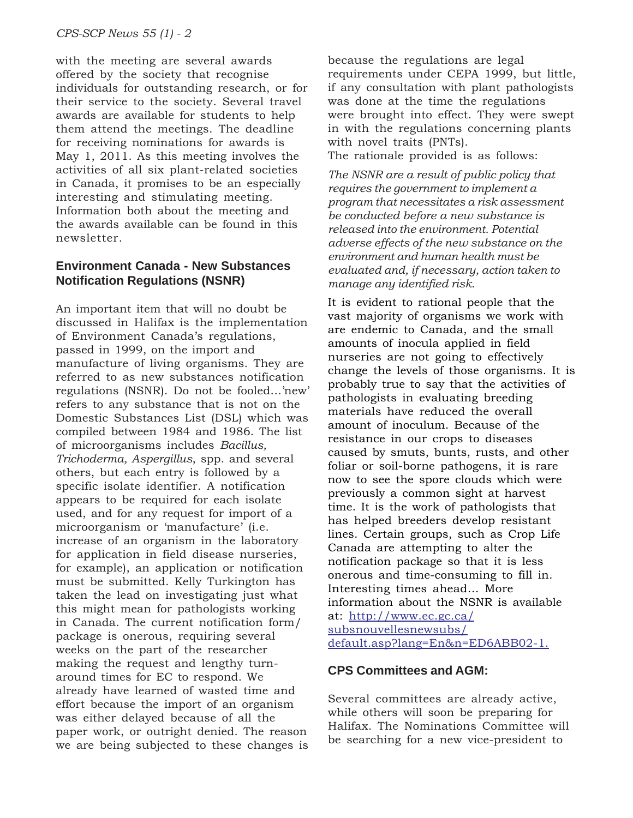with the meeting are several awards offered by the society that recognise individuals for outstanding research, or for their service to the society. Several travel awards are available for students to help them attend the meetings. The deadline for receiving nominations for awards is May 1, 2011. As this meeting involves the activities of all six plant-related societies in Canada, it promises to be an especially interesting and stimulating meeting. Information both about the meeting and the awards available can be found in this newsletter.

#### **Environment Canada - New Substances Notification Regulations (NSNR)**

An important item that will no doubt be discussed in Halifax is the implementation of Environment Canada's regulations, passed in 1999, on the import and manufacture of living organisms. They are referred to as new substances notification regulations (NSNR). Do not be fooled…'new' refers to any substance that is not on the Domestic Substances List (DSL) which was compiled between 1984 and 1986. The list of microorganisms includes *Bacillus, Trichoderma, Aspergillus*, spp. and several others, but each entry is followed by a specific isolate identifier. A notification appears to be required for each isolate used, and for any request for import of a microorganism or 'manufacture' (i.e. increase of an organism in the laboratory for application in field disease nurseries, for example), an application or notification must be submitted. Kelly Turkington has taken the lead on investigating just what this might mean for pathologists working in Canada. The current notification form/ package is onerous, requiring several weeks on the part of the researcher making the request and lengthy turnaround times for EC to respond. We already have learned of wasted time and effort because the import of an organism was either delayed because of all the paper work, or outright denied. The reason we are being subjected to these changes is because the regulations are legal requirements under CEPA 1999, but little, if any consultation with plant pathologists was done at the time the regulations were brought into effect. They were swept in with the regulations concerning plants with novel traits (PNTs).

The rationale provided is as follows:

*The NSNR are a result of public policy that requires the government to implement a program that necessitates a risk assessment be conducted before a new substance is released into the environment. Potential adverse effects of the new substance on the environment and human health must be evaluated and, if necessary, action taken to manage any identified risk.*

It is evident to rational people that the vast majority of organisms we work with are endemic to Canada, and the small amounts of inocula applied in field nurseries are not going to effectively change the levels of those organisms. It is probably true to say that the activities of pathologists in evaluating breeding materials have reduced the overall amount of inoculum. Because of the resistance in our crops to diseases caused by smuts, bunts, rusts, and other foliar or soil-borne pathogens, it is rare now to see the spore clouds which were previously a common sight at harvest time. It is the work of pathologists that has helped breeders develop resistant lines. Certain groups, such as Crop Life Canada are attempting to alter the notification package so that it is less onerous and time-consuming to fill in. Interesting times ahead… More information about the NSNR is available at: http://www.ec.gc.ca/ subsnouvellesnewsubs/ default.asp?lang=En&n=ED6ABB02-1.

#### **CPS Committees and AGM:**

Several committees are already active, while others will soon be preparing for Halifax. The Nominations Committee will be searching for a new vice-president to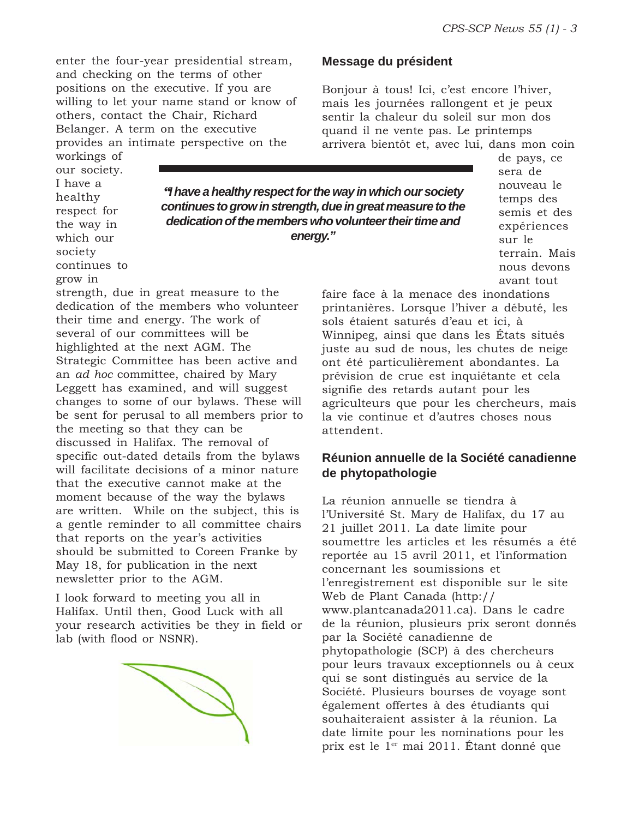enter the four-year presidential stream, and checking on the terms of other positions on the executive. If you are willing to let your name stand or know of others, contact the Chair, Richard Belanger. A term on the executive provides an intimate perspective on the

strength, due in great measure to the dedication of the members who volunteer

Strategic Committee has been active and an *ad hoc* committee, chaired by Mary Leggett has examined, and will suggest changes to some of our bylaws. These will be sent for perusal to all members prior to

specific out-dated details from the bylaws will facilitate decisions of a minor nature that the executive cannot make at the moment because of the way the bylaws are written. While on the subject, this is a gentle reminder to all committee chairs

should be submitted to Coreen Franke by

 $\bigotimes$ 

their time and energy. The work of several of our committees will be highlighted at the next AGM. The

the meeting so that they can be discussed in Halifax. The removal of

that reports on the year's activities

May 18, for publication in the next

I look forward to meeting you all in Halifax. Until then, Good Luck with all your research activities be they in field or

newsletter prior to the AGM.

lab (with flood or NSNR).

workings of our society. I have a healthy respect for the way in which our society continues to grow in

*"I have a healthy respect for the way in which our society continues to grow in strength, due in great measure to the dedication of the members who volunteer their time and energy."*

de pays, ce sera de nouveau le temps des semis et des expériences sur le terrain. Mais nous devons avant tout

faire face à la menace des inondations printanières. Lorsque l'hiver a débuté, les sols étaient saturés d'eau et ici, à Winnipeg, ainsi que dans les États situés juste au sud de nous, les chutes de neige ont été particulièrement abondantes. La prévision de crue est inquiétante et cela signifie des retards autant pour les agriculteurs que pour les chercheurs, mais la vie continue et d'autres choses nous attendent.

#### **Réunion annuelle de la Société canadienne de phytopathologie**

La réunion annuelle se tiendra à l'Université St. Mary de Halifax, du 17 au 21 juillet 2011. La date limite pour soumettre les articles et les résumés a été reportée au 15 avril 2011, et l'information concernant les soumissions et l'enregistrement est disponible sur le site Web de Plant Canada (http:// www.plantcanada2011.ca). Dans le cadre de la réunion, plusieurs prix seront donnés par la Société canadienne de phytopathologie (SCP) à des chercheurs pour leurs travaux exceptionnels ou à ceux qui se sont distingués au service de la Société. Plusieurs bourses de voyage sont également offertes à des étudiants qui souhaiteraient assister à la réunion. La date limite pour les nominations pour les prix est le 1er mai 2011. Étant donné que

#### **Message du président**

Bonjour à tous! Ici, c'est encore l'hiver, mais les journées rallongent et je peux sentir la chaleur du soleil sur mon dos quand il ne vente pas. Le printemps arrivera bientôt et, avec lui, dans mon coin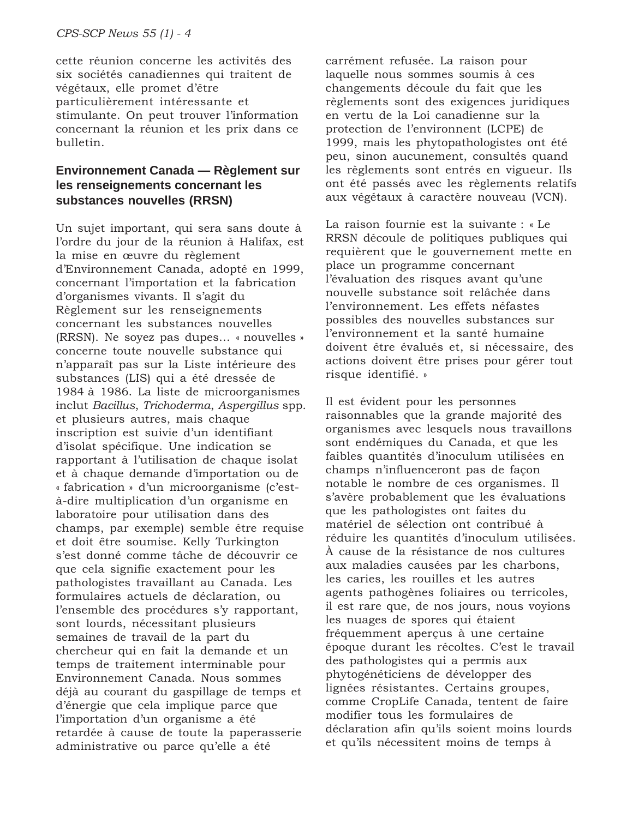cette réunion concerne les activités des six sociétés canadiennes qui traitent de végétaux, elle promet d'être particulièrement intéressante et stimulante. On peut trouver l'information concernant la réunion et les prix dans ce bulletin.

#### **Environnement Canada — Règlement sur les renseignements concernant les substances nouvelles (RRSN)**

Un sujet important, qui sera sans doute à l'ordre du jour de la réunion à Halifax, est la mise en œuvre du règlement d'Environnement Canada, adopté en 1999, concernant l'importation et la fabrication d'organismes vivants. Il s'agit du Règlement sur les renseignements concernant les substances nouvelles (RRSN). Ne soyez pas dupes… « nouvelles » concerne toute nouvelle substance qui n'apparaît pas sur la Liste intérieure des substances (LIS) qui a été dressée de 1984 à 1986. La liste de microorganismes inclut *Bacillus*, *Trichoderma*, *Aspergillus* spp. et plusieurs autres, mais chaque inscription est suivie d'un identifiant d'isolat spécifique. Une indication se rapportant à l'utilisation de chaque isolat et à chaque demande d'importation ou de « fabrication » d'un microorganisme (c'està-dire multiplication d'un organisme en laboratoire pour utilisation dans des champs, par exemple) semble être requise et doit être soumise. Kelly Turkington s'est donné comme tâche de découvrir ce que cela signifie exactement pour les pathologistes travaillant au Canada. Les formulaires actuels de déclaration, ou l'ensemble des procédures s'y rapportant, sont lourds, nécessitant plusieurs semaines de travail de la part du chercheur qui en fait la demande et un temps de traitement interminable pour Environnement Canada. Nous sommes déjà au courant du gaspillage de temps et d'énergie que cela implique parce que l'importation d'un organisme a été retardée à cause de toute la paperasserie administrative ou parce qu'elle a été

carrément refusée. La raison pour laquelle nous sommes soumis à ces changements découle du fait que les règlements sont des exigences juridiques en vertu de la Loi canadienne sur la protection de l'environnent (LCPE) de 1999, mais les phytopathologistes ont été peu, sinon aucunement, consultés quand les règlements sont entrés en vigueur. Ils ont été passés avec les règlements relatifs aux végétaux à caractère nouveau (VCN).

La raison fournie est la suivante : « Le RRSN découle de politiques publiques qui requièrent que le gouvernement mette en place un programme concernant l'évaluation des risques avant qu'une nouvelle substance soit relâchée dans l'environnement. Les effets néfastes possibles des nouvelles substances sur l'environnement et la santé humaine doivent être évalués et, si nécessaire, des actions doivent être prises pour gérer tout risque identifié. »

Il est évident pour les personnes raisonnables que la grande majorité des organismes avec lesquels nous travaillons sont endémiques du Canada, et que les faibles quantités d'inoculum utilisées en champs n'influenceront pas de façon notable le nombre de ces organismes. Il s'avère probablement que les évaluations que les pathologistes ont faites du matériel de sélection ont contribué à réduire les quantités d'inoculum utilisées. À cause de la résistance de nos cultures aux maladies causées par les charbons, les caries, les rouilles et les autres agents pathogènes foliaires ou terricoles, il est rare que, de nos jours, nous voyions les nuages de spores qui étaient fréquemment aperçus à une certaine époque durant les récoltes. C'est le travail des pathologistes qui a permis aux phytogénéticiens de développer des lignées résistantes. Certains groupes, comme CropLife Canada, tentent de faire modifier tous les formulaires de déclaration afin qu'ils soient moins lourds et qu'ils nécessitent moins de temps à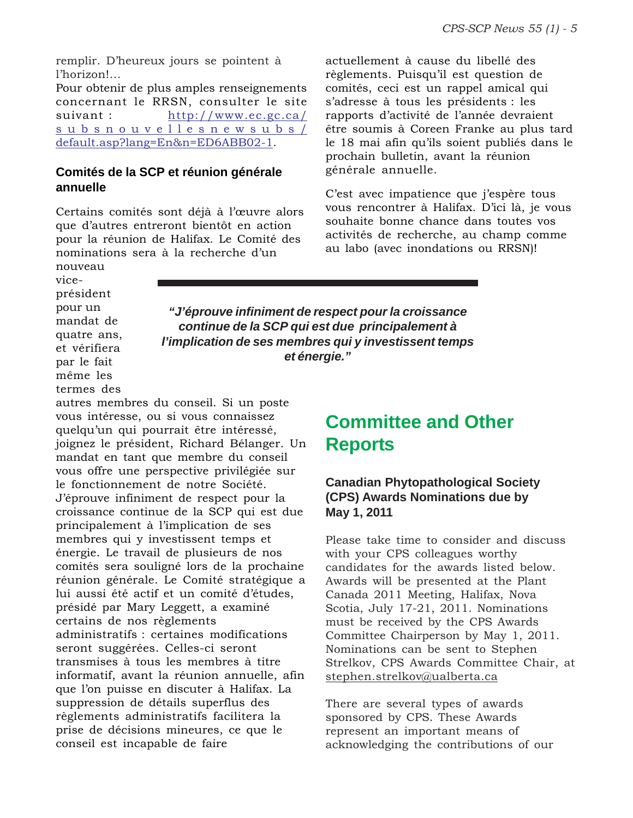remplir. D'heureux jours se pointent à l'horizon!...

Pour obtenir de plus amples renseignements concernant le RRSN, consulter le site suivant : http://www.ec.gc.ca/ subsnouvellesnewsubs/ default.asp?lang=En&n=ED6ABB02-1.

#### **Comités de la SCP et réunion générale annuelle**

Certains comités sont déjà à l'œuvre alors que d'autres entreront bientôt en action pour la réunion de Halifax. Le Comité des nominations sera à la recherche d'un

actuellement à cause du libellé des règlements. Puisqu'il est question de comités, ceci est un rappel amical qui s'adresse à tous les présidents : les rapports d'activité de l'année devraient être soumis à Coreen Franke au plus tard le 18 mai afin qu'ils soient publiés dans le prochain bulletin, avant la réunion générale annuelle.

C'est avec impatience que j'espère tous vous rencontrer à Halifax. D'ici là, je vous souhaite bonne chance dans toutes vos activités de recherche, au champ comme au labo (avec inondations ou RRSN)!

nouveau viceprésident pour un mandat de quatre ans, et vérifiera par le fait même les termes des

*"J'éprouve infiniment de respect pour la croissance continue de la SCP qui est due principalement à l'implication de ses membres qui y investissent temps et énergie."*

autres membres du conseil. Si un poste vous intéresse, ou si vous connaissez quelqu'un qui pourrait être intéressé, joignez le président, Richard Bélanger. Un mandat en tant que membre du conseil vous offre une perspective privilégiée sur le fonctionnement de notre Société. J'éprouve infiniment de respect pour la croissance continue de la SCP qui est due principalement à l'implication de ses membres qui y investissent temps et énergie. Le travail de plusieurs de nos comités sera souligné lors de la prochaine réunion générale. Le Comité stratégique a lui aussi été actif et un comité d'études, présidé par Mary Leggett, a examiné certains de nos règlements administratifs : certaines modifications seront suggérées. Celles-ci seront transmises à tous les membres à titre informatif, avant la réunion annuelle, afin que l'on puisse en discuter à Halifax. La suppression de détails superflus des règlements administratifs facilitera la prise de décisions mineures, ce que le conseil est incapable de faire

## **Committee and Other Reports**

#### **Canadian Phytopathological Society (CPS) Awards Nominations due by May 1, 2011**

Please take time to consider and discuss with your CPS colleagues worthy candidates for the awards listed below. Awards will be presented at the Plant Canada 2011 Meeting, Halifax, Nova Scotia, July 17-21, 2011. Nominations must be received by the CPS Awards Committee Chairperson by May 1, 2011. Nominations can be sent to Stephen Strelkov, CPS Awards Committee Chair, at stephen.strelkov@ualberta.ca

There are several types of awards sponsored by CPS. These Awards represent an important means of acknowledging the contributions of our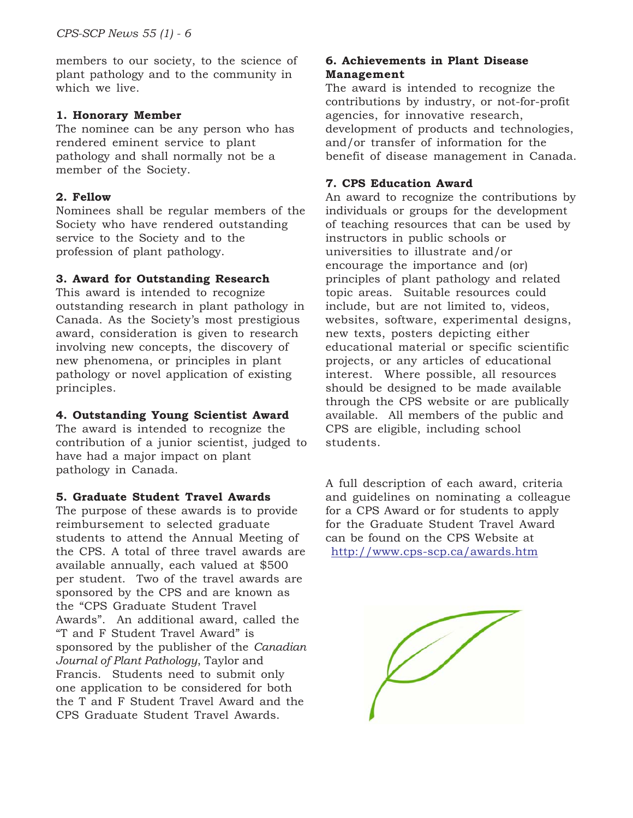members to our society, to the science of plant pathology and to the community in which we live.

#### **1. Honorary Member**

The nominee can be any person who has rendered eminent service to plant pathology and shall normally not be a member of the Society.

#### **2. Fellow**

Nominees shall be regular members of the Society who have rendered outstanding service to the Society and to the profession of plant pathology.

#### **3. Award for Outstanding Research**

This award is intended to recognize outstanding research in plant pathology in Canada. As the Society's most prestigious award, consideration is given to research involving new concepts, the discovery of new phenomena, or principles in plant pathology or novel application of existing principles.

#### **4. Outstanding Young Scientist Award**

The award is intended to recognize the contribution of a junior scientist, judged to have had a major impact on plant pathology in Canada.

#### **5. Graduate Student Travel Awards**

The purpose of these awards is to provide reimbursement to selected graduate students to attend the Annual Meeting of the CPS. A total of three travel awards are available annually, each valued at \$500 per student. Two of the travel awards are sponsored by the CPS and are known as the "CPS Graduate Student Travel Awards". An additional award, called the "T and F Student Travel Award" is sponsored by the publisher of the *Canadian Journal of Plant Pathology*, Taylor and Francis. Students need to submit only one application to be considered for both the T and F Student Travel Award and the CPS Graduate Student Travel Awards.

#### **6. Achievements in Plant Disease Management**

The award is intended to recognize the contributions by industry, or not-for-profit agencies, for innovative research, development of products and technologies, and/or transfer of information for the benefit of disease management in Canada.

#### **7. CPS Education Award**

An award to recognize the contributions by individuals or groups for the development of teaching resources that can be used by instructors in public schools or universities to illustrate and/or encourage the importance and (or) principles of plant pathology and related topic areas. Suitable resources could include, but are not limited to, videos, websites, software, experimental designs, new texts, posters depicting either educational material or specific scientific projects, or any articles of educational interest. Where possible, all resources should be designed to be made available through the CPS website or are publically available. All members of the public and CPS are eligible, including school students.

A full description of each award, criteria and guidelines on nominating a colleague for a CPS Award or for students to apply for the Graduate Student Travel Award can be found on the CPS Website at http://www.cps-scp.ca/awards.htm

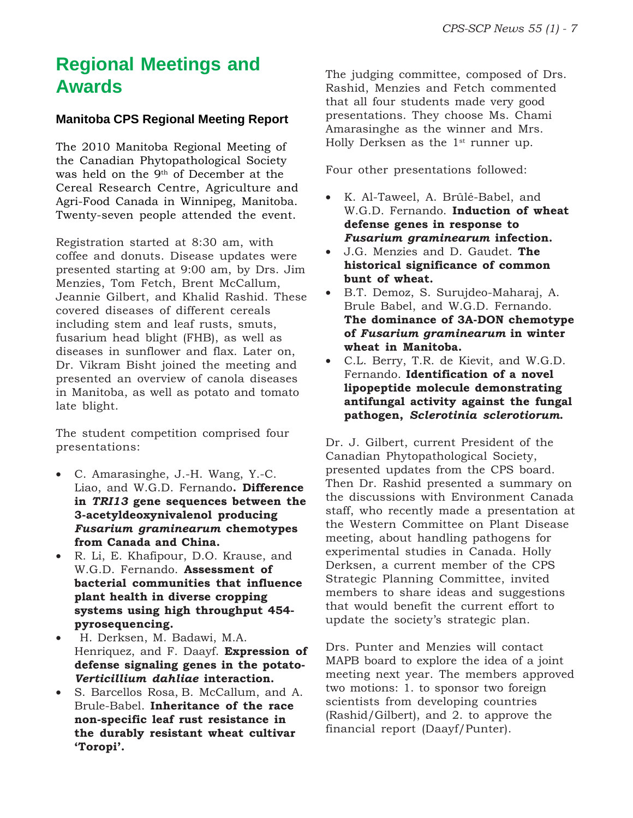## **Regional Meetings and Awards**

#### **Manitoba CPS Regional Meeting Report**

The 2010 Manitoba Regional Meeting of the Canadian Phytopathological Society was held on the 9th of December at the Cereal Research Centre, Agriculture and Agri-Food Canada in Winnipeg, Manitoba. Twenty-seven people attended the event.

Registration started at 8:30 am, with coffee and donuts. Disease updates were presented starting at 9:00 am, by Drs. Jim Menzies, Tom Fetch, Brent McCallum, Jeannie Gilbert, and Khalid Rashid. These covered diseases of different cereals including stem and leaf rusts, smuts, fusarium head blight (FHB), as well as diseases in sunflower and flax. Later on, Dr. Vikram Bisht joined the meeting and presented an overview of canola diseases in Manitoba, as well as potato and tomato late blight.

The student competition comprised four presentations:

- C. Amarasinghe, J.-H. Wang, Y.-C. Liao, and W.G.D. Fernando**. Difference in** *TRI13* **gene sequences between the 3-acetyldeoxynivalenol producing** *Fusarium graminearum* **chemotypes from Canada and China.**
- R. Li, E. Khafipour, D.O. Krause, and W.G.D. Fernando. **Assessment of bacterial communities that influence plant health in diverse cropping systems using high throughput 454 pyrosequencing.**
- H. Derksen, M. Badawi, M.A. Henriquez, and F. Daayf. **Expression of defense signaling genes in the potato-***Verticillium dahliae* **interaction.**
- S. Barcellos Rosa, B. McCallum, and A. Brule-Babel. **Inheritance of the race non-specific leaf rust resistance in the durably resistant wheat cultivar 'Toropi'.**

The judging committee, composed of Drs. Rashid, Menzies and Fetch commented that all four students made very good presentations. They choose Ms. Chami Amarasinghe as the winner and Mrs. Holly Derksen as the  $1<sup>st</sup>$  runner up.

Four other presentations followed:

- K. Al-Taweel, A. Brûlé-Babel, and W.G.D. Fernando. **Induction of wheat defense genes in response to** *Fusarium graminearum* **infection.**
- J.G. Menzies and D. Gaudet. **The historical significance of common bunt of wheat.**
- B.T. Demoz, S. Surujdeo-Maharaj, A. Brule Babel, and W.G.D. Fernando. **The dominance of 3A-DON chemotype of** *Fusarium graminearum* **in winter wheat in Manitoba.**
- C.L. Berry, T.R. de Kievit, and W.G.D. Fernando. **Identification of a novel lipopeptide molecule demonstrating antifungal activity against the fungal pathogen,** *Sclerotinia sclerotiorum***.**

Dr. J. Gilbert, current President of the Canadian Phytopathological Society, presented updates from the CPS board. Then Dr. Rashid presented a summary on the discussions with Environment Canada staff, who recently made a presentation at the Western Committee on Plant Disease meeting, about handling pathogens for experimental studies in Canada. Holly Derksen, a current member of the CPS Strategic Planning Committee, invited members to share ideas and suggestions that would benefit the current effort to update the society's strategic plan.

Drs. Punter and Menzies will contact MAPB board to explore the idea of a joint meeting next year. The members approved two motions: 1. to sponsor two foreign scientists from developing countries (Rashid/Gilbert), and 2. to approve the financial report (Daayf/Punter).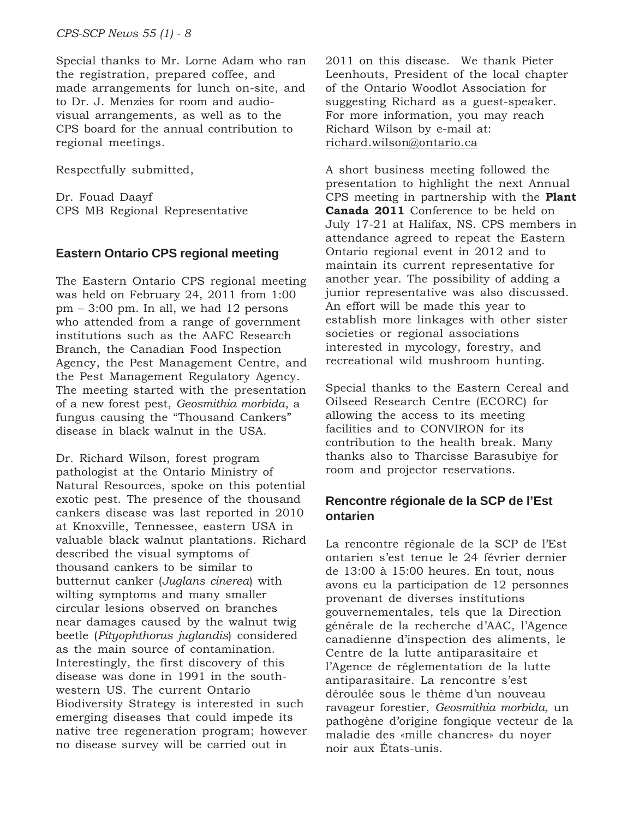Special thanks to Mr. Lorne Adam who ran the registration, prepared coffee, and made arrangements for lunch on-site, and to Dr. J. Menzies for room and audiovisual arrangements, as well as to the CPS board for the annual contribution to regional meetings.

Respectfully submitted,

Dr. Fouad Daayf CPS MB Regional Representative

#### **Eastern Ontario CPS regional meeting**

The Eastern Ontario CPS regional meeting was held on February 24, 2011 from 1:00 pm – 3:00 pm. In all, we had 12 persons who attended from a range of government institutions such as the AAFC Research Branch, the Canadian Food Inspection Agency, the Pest Management Centre, and the Pest Management Regulatory Agency. The meeting started with the presentation of a new forest pest, *Geosmithia morbida*, a fungus causing the "Thousand Cankers" disease in black walnut in the USA.

Dr. Richard Wilson, forest program pathologist at the Ontario Ministry of Natural Resources, spoke on this potential exotic pest. The presence of the thousand cankers disease was last reported in 2010 at Knoxville, Tennessee, eastern USA in valuable black walnut plantations. Richard described the visual symptoms of thousand cankers to be similar to butternut canker (*Juglans cinerea*) with wilting symptoms and many smaller circular lesions observed on branches near damages caused by the walnut twig beetle (*Pityophthorus juglandis*) considered as the main source of contamination. Interestingly, the first discovery of this disease was done in 1991 in the southwestern US. The current Ontario Biodiversity Strategy is interested in such emerging diseases that could impede its native tree regeneration program; however no disease survey will be carried out in

2011 on this disease. We thank Pieter Leenhouts, President of the local chapter of the Ontario Woodlot Association for suggesting Richard as a guest-speaker. For more information, you may reach Richard Wilson by e-mail at: richard.wilson@ontario.ca

A short business meeting followed the presentation to highlight the next Annual CPS meeting in partnership with the **Plant Canada 2011** Conference to be held on July 17-21 at Halifax, NS. CPS members in attendance agreed to repeat the Eastern Ontario regional event in 2012 and to maintain its current representative for another year. The possibility of adding a junior representative was also discussed. An effort will be made this year to establish more linkages with other sister societies or regional associations interested in mycology, forestry, and recreational wild mushroom hunting.

Special thanks to the Eastern Cereal and Oilseed Research Centre (ECORC) for allowing the access to its meeting facilities and to CONVIRON for its contribution to the health break. Many thanks also to Tharcisse Barasubiye for room and projector reservations.

#### **Rencontre régionale de la SCP de l'Est ontarien**

La rencontre régionale de la SCP de l'Est ontarien s'est tenue le 24 février dernier de 13:00 à 15:00 heures. En tout, nous avons eu la participation de 12 personnes provenant de diverses institutions gouvernementales, tels que la Direction générale de la recherche d'AAC, l'Agence canadienne d'inspection des aliments, le Centre de la lutte antiparasitaire et l'Agence de réglementation de la lutte antiparasitaire. La rencontre s'est déroulée sous le thème d'un nouveau ravageur forestier, *Geosmithia morbida,* un pathogène d'origine fongique vecteur de la maladie des «mille chancres» du noyer noir aux États-unis.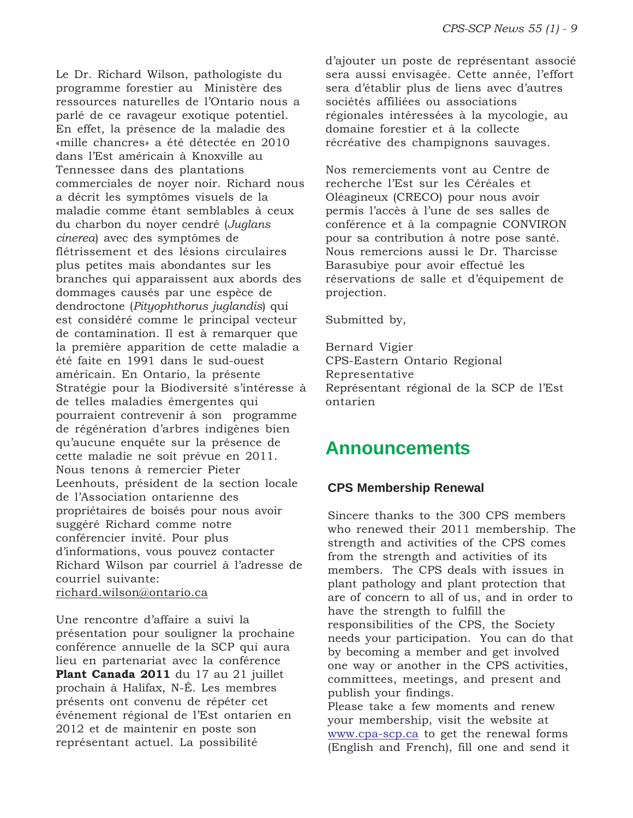Le Dr. Richard Wilson, pathologiste du programme forestier au Ministère des ressources naturelles de l'Ontario nous a parlé de ce ravageur exotique potentiel. En effet, la présence de la maladie des «mille chancres» a été détectée en 2010 dans l'Est américain à Knoxville au Tennessee dans des plantations commerciales de noyer noir. Richard nous a décrit les symptômes visuels de la maladie comme étant semblables à ceux du charbon du noyer cendré (*Juglans cinerea*) avec des symptômes de flétrissement et des lésions circulaires plus petites mais abondantes sur les branches qui apparaissent aux abords des dommages causés par une espèce de dendroctone (*Pityophthorus juglandis*) qui est considéré comme le principal vecteur de contamination. Il est à remarquer que la première apparition de cette maladie a été faite en 1991 dans le sud-ouest américain. En Ontario, la présente Stratégie pour la Biodiversité s'intéresse à de telles maladies émergentes qui pourraient contrevenir à son programme de régénération d'arbres indigènes bien qu'aucune enquête sur la présence de cette maladie ne soit prévue en 2011. Nous tenons à remercier Pieter Leenhouts, président de la section locale de l'Association ontarienne des propriétaires de boisés pour nous avoir suggéré Richard comme notre conférencier invité. Pour plus d'informations, vous pouvez contacter Richard Wilson par courriel à l'adresse de courriel suivante: richard.wilson@ontario.ca

Une rencontre d'affaire a suivi la présentation pour souligner la prochaine conférence annuelle de la SCP qui aura lieu en partenariat avec la conférence Plant Canada 2011 du 17 au 21 juillet prochain à Halifax, N-É. Les membres présents ont convenu de répéter cet événement régional de l'Est ontarien en 2012 et de maintenir en poste son représentant actuel. La possibilité

d'ajouter un poste de représentant associé sera aussi envisagée. Cette année, l'effort sera d'établir plus de liens avec d'autres sociétés affiliées ou associations régionales intéressées à la mycologie, au domaine forestier et à la collecte récréative des champignons sauvages.

Nos remerciements vont au Centre de recherche l'Est sur les Céréales et Oléagineux (CRECO) pour nous avoir permis l'accès à l'une de ses salles de conférence et à la compagnie CONVIRON pour sa contribution à notre pose santé. Nous remercions aussi le Dr. Tharcisse Barasubiye pour avoir effectué les réservations de salle et d'équipement de projection.

Submitted by,

Bernard Vigier CPS-Eastern Ontario Regional Representative Représentant régional de la SCP de l'Est ontarien

## **Announcements**

#### **CPS Membership Renewal**

Sincere thanks to the 300 CPS members who renewed their 2011 membership. The strength and activities of the CPS comes from the strength and activities of its members. The CPS deals with issues in plant pathology and plant protection that are of concern to all of us, and in order to have the strength to fulfill the responsibilities of the CPS, the Society needs your participation. You can do that by becoming a member and get involved one way or another in the CPS activities, committees, meetings, and present and publish your findings. Please take a few moments and renew your membership, visit the website at www.cpa-scp.ca to get the renewal forms

(English and French), fill one and send it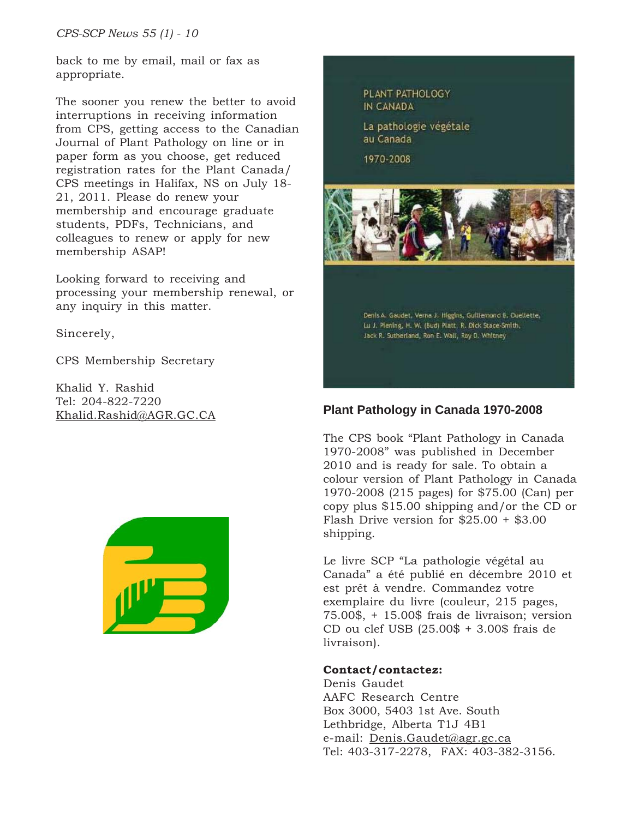back to me by email, mail or fax as appropriate.

The sooner you renew the better to avoid interruptions in receiving information from CPS, getting access to the Canadian Journal of Plant Pathology on line or in paper form as you choose, get reduced registration rates for the Plant Canada/ CPS meetings in Halifax, NS on July 18- 21, 2011. Please do renew your membership and encourage graduate students, PDFs, Technicians, and colleagues to renew or apply for new membership ASAP!

Looking forward to receiving and processing your membership renewal, or any inquiry in this matter.

Sincerely,

CPS Membership Secretary

Khalid Y. Rashid Tel: 204-822-7220



PLANT PATHOLOGY IN CANADA

La pathologie végétale au Canada

1970-2008



Lu J. Plening, H. W. (bud) Platt, R. Dick Stace-Smith, Jack R. Sutherland, Ron E. Wall, Roy D. Whitney

## Khalid.Rashid@AGR.GC.CA **Plant Pathology in Canada 1970-2008**

The CPS book "Plant Pathology in Canada 1970-2008" was published in December 2010 and is ready for sale. To obtain a colour version of Plant Pathology in Canada 1970-2008 (215 pages) for \$75.00 (Can) per copy plus \$15.00 shipping and/or the CD or Flash Drive version for \$25.00 + \$3.00 shipping.

Le livre SCP "La pathologie végétal au Canada" a été publié en décembre 2010 et est prêt à vendre. Commandez votre exemplaire du livre (couleur, 215 pages, 75.00\$, + 15.00\$ frais de livraison; version CD ou clef USB (25.00\$ + 3.00\$ frais de livraison).

#### **Contact/contactez:**

Denis Gaudet AAFC Research Centre Box 3000, 5403 1st Ave. South Lethbridge, Alberta T1J 4B1 e-mail: Denis.Gaudet@agr.gc.ca Tel: 403-317-2278, FAX: 403-382-3156.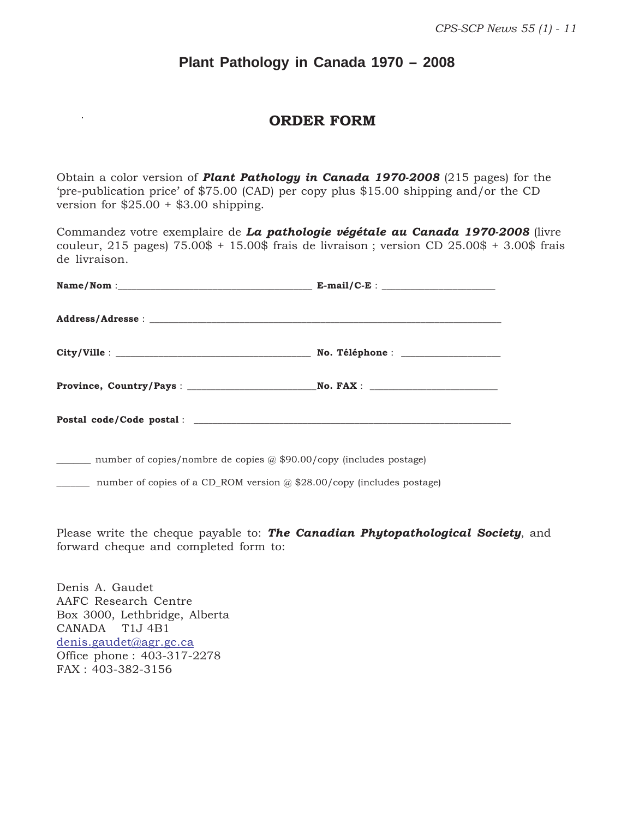### **Plant Pathology in Canada 1970 – 2008**

#### **ORDER FORM**

Obtain a color version of *Plant Pathology in Canada 1970-2008* (215 pages) for the 'pre-publication price' of \$75.00 (CAD) per copy plus \$15.00 shipping and/or the CD version for  $$25.00 + $3.00$  shipping.

Commandez votre exemplaire de *La pathologie végétale au Canada 1970-2008* (livre couleur,  $215$  pages)  $75.00\$  +  $15.00\$  frais de livraison; version CD  $25.00\$  +  $3.00\$  frais de livraison.

| $Name/Nom: E-mail/C-E$ : |
|--------------------------|
|                          |
|                          |
|                          |
|                          |
|                          |

\_\_\_\_\_\_ number of copies/nombre de copies @ \$90.00/copy (includes postage)

\_\_\_\_\_\_\_ number of copies of a CD\_ROM version @ \$28.00/copy (includes postage)

Please write the cheque payable to: *The Canadian Phytopathological Society*, and forward cheque and completed form to:

Denis A. Gaudet AAFC Research Centre Box 3000, Lethbridge, Alberta CANADA T1J 4B1 denis.gaudet@agr.gc.ca Office phone : 403-317-2278 FAX : 403-382-3156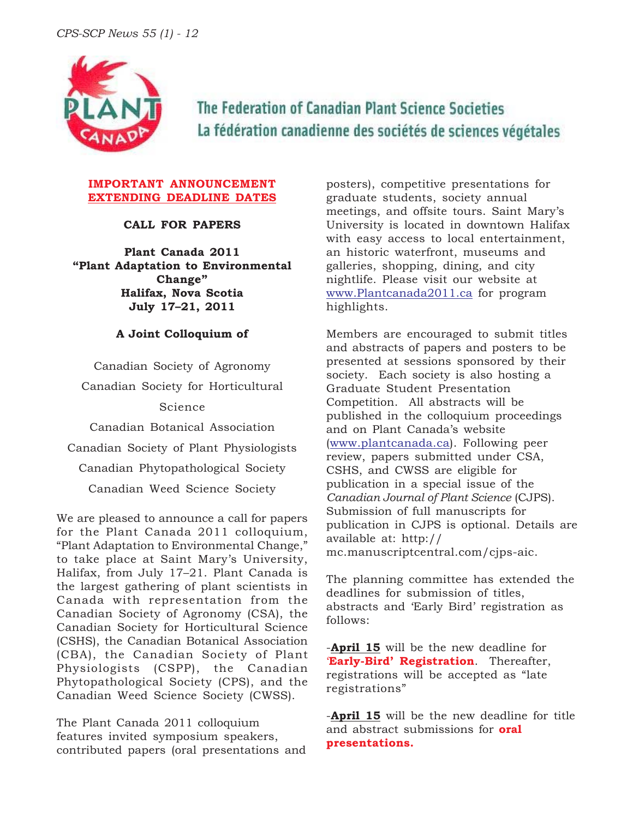

The Federation of Canadian Plant Science Societies La fédération canadienne des sociétés de sciences végétales

#### **IMPORTANT ANNOUNCEMENT EXTENDING DEADLINE DATES**

#### **CALL FOR PAPERS**

**Plant Canada 2011 "Plant Adaptation to Environmental Change" Halifax, Nova Scotia July 17–21, 2011**

#### **A Joint Colloquium of**

Canadian Society of Agronomy

Canadian Society for Horticultural

Science

Canadian Botanical Association

Canadian Society of Plant Physiologists

Canadian Phytopathological Society

Canadian Weed Science Society

We are pleased to announce a call for papers for the Plant Canada 2011 colloquium, "Plant Adaptation to Environmental Change," to take place at Saint Mary's University, Halifax, from July 17–21. Plant Canada is the largest gathering of plant scientists in Canada with representation from the Canadian Society of Agronomy (CSA), the Canadian Society for Horticultural Science (CSHS), the Canadian Botanical Association (CBA), the Canadian Society of Plant Physiologists (CSPP), the Canadian Phytopathological Society (CPS), and the Canadian Weed Science Society (CWSS).

The Plant Canada 2011 colloquium features invited symposium speakers, contributed papers (oral presentations and

posters), competitive presentations for graduate students, society annual meetings, and offsite tours. Saint Mary's University is located in downtown Halifax with easy access to local entertainment, an historic waterfront, museums and galleries, shopping, dining, and city nightlife. Please visit our website at www.Plantcanada2011.ca for program highlights.

Members are encouraged to submit titles and abstracts of papers and posters to be presented at sessions sponsored by their society. Each society is also hosting a Graduate Student Presentation Competition. All abstracts will be published in the colloquium proceedings and on Plant Canada's website (www.plantcanada.ca). Following peer review, papers submitted under CSA, CSHS, and CWSS are eligible for publication in a special issue of the *Canadian Journal of Plant Science* (CJPS). Submission of full manuscripts for publication in CJPS is optional. Details are available at: http:// mc.manuscriptcentral.com/cjps-aic.

The planning committee has extended the deadlines for submission of titles, abstracts and 'Early Bird' registration as follows:

-**April 15** will be the new deadline for '**Early-Bird' Registration**. Thereafter, registrations will be accepted as "late registrations"

-**April 15** will be the new deadline for title and abstract submissions for **oral presentations.**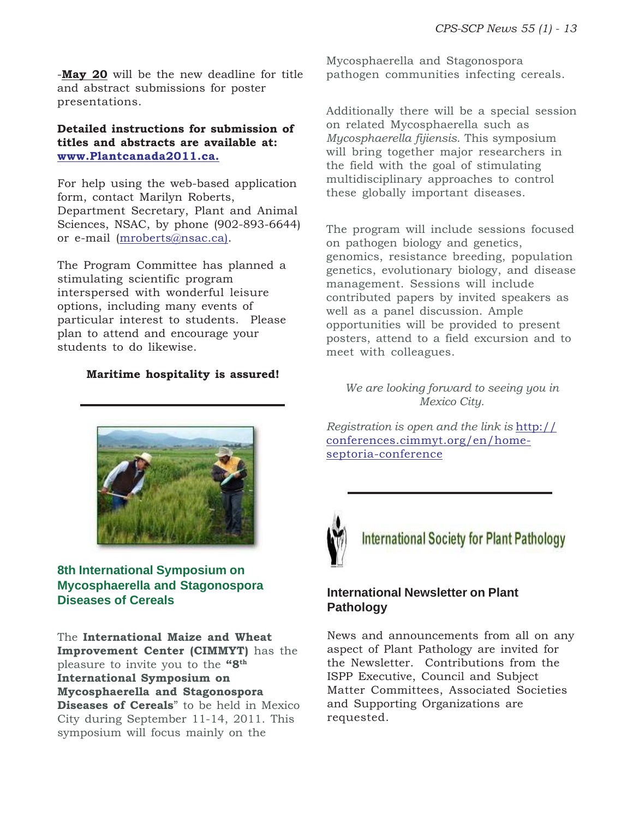-**May 20** will be the new deadline for title and abstract submissions for poster presentations.

#### **Detailed instructions for submission of titles and abstracts are available at: www.Plantcanada2011.ca.**

For help using the web-based application form, contact Marilyn Roberts, Department Secretary, Plant and Animal Sciences, NSAC, by phone (902-893-6644) or e-mail (mroberts@nsac.ca).

The Program Committee has planned a stimulating scientific program interspersed with wonderful leisure options, including many events of particular interest to students. Please plan to attend and encourage your students to do likewise.

#### **Maritime hospitality is assured!**

Mycosphaerella and Stagonospora pathogen communities infecting cereals.

Additionally there will be a special session on related Mycosphaerella such as *Mycosphaerella fijiensis*. This symposium will bring together major researchers in the field with the goal of stimulating multidisciplinary approaches to control these globally important diseases.

The program will include sessions focused on pathogen biology and genetics, genomics, resistance breeding, population genetics, evolutionary biology, and disease management. Sessions will include contributed papers by invited speakers as well as a panel discussion. Ample opportunities will be provided to present posters, attend to a field excursion and to meet with colleagues.

*We are looking forward to seeing you in Mexico City.*

*Registration is open and the link is* http:// conferences.cimmyt.org/en/homeseptoria-conference



**International Society for Plant Pathology** 

#### **International Newsletter on Plant Pathology**

News and announcements from all on any aspect of Plant Pathology are invited for the Newsletter. Contributions from the ISPP Executive, Council and Subject Matter Committees, Associated Societies and Supporting Organizations are requested.



#### **8th International Symposium on Mycosphaerella and Stagonospora Diseases of Cereals**

The **International Maize and Wheat Improvement Center (CIMMYT)** has the pleasure to invite you to the **"8th International Symposium on Mycosphaerella and Stagonospora Diseases of Cereals**" to be held in Mexico City during September 11-14, 2011. This symposium will focus mainly on the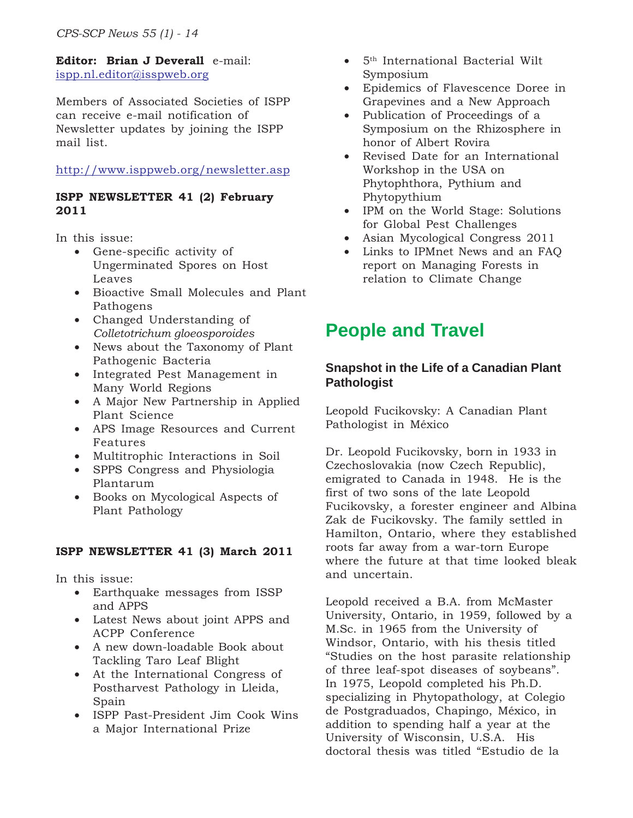#### **Editor: Brian J Deverall** e-mail: ispp.nl.editor@isspweb.org

Members of Associated Societies of ISPP can receive e-mail notification of Newsletter updates by joining the ISPP mail list.

#### http://www.isppweb.org/newsletter.asp

#### **ISPP NEWSLETTER 41 (2) February 2011**

In this issue:

- Gene-specific activity of Ungerminated Spores on Host Leaves
- Bioactive Small Molecules and Plant Pathogens
- Changed Understanding of *Colletotrichum gloeosporoides*
- News about the Taxonomy of Plant Pathogenic Bacteria
- Integrated Pest Management in Many World Regions
- A Major New Partnership in Applied Plant Science
- APS Image Resources and Current Features
- Multitrophic Interactions in Soil
- SPPS Congress and Physiologia Plantarum
- Books on Mycological Aspects of Plant Pathology

#### **ISPP NEWSLETTER 41 (3) March 2011**

In this issue:

- Earthquake messages from ISSP and APPS
- Latest News about joint APPS and ACPP Conference
- A new down-loadable Book about Tackling Taro Leaf Blight
- At the International Congress of Postharvest Pathology in Lleida, Spain
- ISPP Past-President Jim Cook Wins a Major International Prize
- 5th International Bacterial Wilt Symposium
- Epidemics of Flavescence Doree in Grapevines and a New Approach
- Publication of Proceedings of a Symposium on the Rhizosphere in honor of Albert Rovira
- Revised Date for an International Workshop in the USA on Phytophthora, Pythium and Phytopythium
- IPM on the World Stage: Solutions for Global Pest Challenges
- Asian Mycological Congress 2011
- Links to IPMnet News and an FAQ report on Managing Forests in relation to Climate Change

## **People and Travel**

#### **Snapshot in the Life of a Canadian Plant Pathologist**

Leopold Fucikovsky: A Canadian Plant Pathologist in México

Dr. Leopold Fucikovsky, born in 1933 in Czechoslovakia (now Czech Republic), emigrated to Canada in 1948. He is the first of two sons of the late Leopold Fucikovsky, a forester engineer and Albina Zak de Fucikovsky. The family settled in Hamilton, Ontario, where they established roots far away from a war-torn Europe where the future at that time looked bleak and uncertain.

Leopold received a B.A. from McMaster University, Ontario, in 1959, followed by a M.Sc. in 1965 from the University of Windsor, Ontario, with his thesis titled "Studies on the host parasite relationship of three leaf-spot diseases of soybeans". In 1975, Leopold completed his Ph.D. specializing in Phytopathology, at Colegio de Postgraduados, Chapingo, México, in addition to spending half a year at the University of Wisconsin, U.S.A. His doctoral thesis was titled "Estudio de la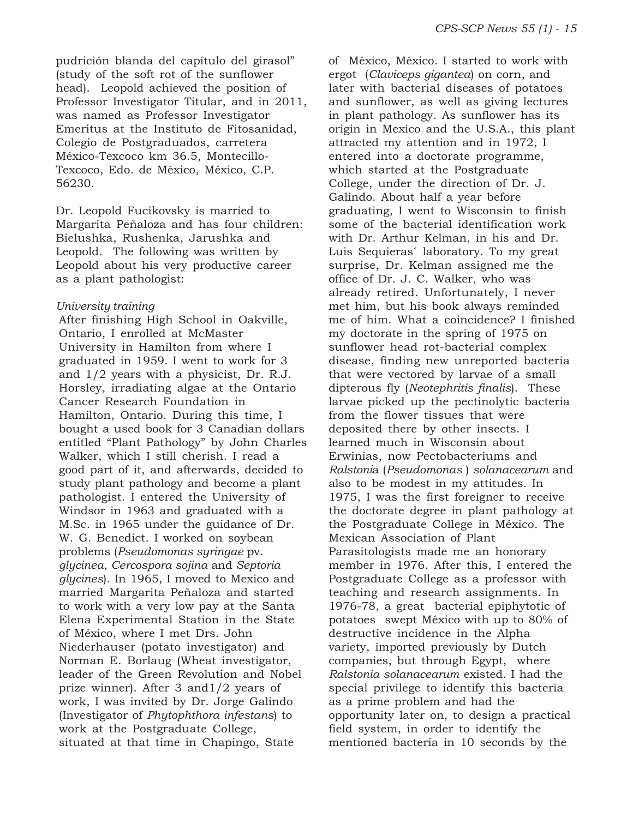pudrición blanda del capítulo del girasol" (study of the soft rot of the sunflower head). Leopold achieved the position of Professor Investigator Titular, and in 2011, was named as Professor Investigator Emeritus at the Instituto de Fitosanidad, Colegio de Postgraduados, carretera México-Texcoco km 36.5, Montecillo-Texcoco, Edo. de México, México, C.P. 56230.

Dr. Leopold Fucikovsky is married to Margarita Peñaloza and has four children: Bielushka, Rushenka, Jarushka and Leopold. The following was written by Leopold about his very productive career as a plant pathologist:

#### *University training*

After finishing High School in Oakville, Ontario, I enrolled at McMaster University in Hamilton from where I graduated in 1959. I went to work for 3 and 1/2 years with a physicist, Dr. R.J. Horsley, irradiating algae at the Ontario Cancer Research Foundation in Hamilton, Ontario. During this time, I bought a used book for 3 Canadian dollars entitled "Plant Pathology" by John Charles Walker, which I still cherish. I read a good part of it, and afterwards, decided to study plant pathology and become a plant pathologist. I entered the University of Windsor in 1963 and graduated with a M.Sc. in 1965 under the guidance of Dr. W. G. Benedict. I worked on soybean problems (*Pseudomonas syringae* pv. *glycinea*, *Cercospora sojina* and *Septoria glycines*). In 1965, I moved to Mexico and married Margarita Peñaloza and started to work with a very low pay at the Santa Elena Experimental Station in the State of México, where I met Drs. John Niederhauser (potato investigator) and Norman E. Borlaug (Wheat investigator, leader of the Green Revolution and Nobel prize winner). After 3 and1/2 years of work, I was invited by Dr. Jorge Galindo (Investigator of *Phytophthora infestans*) to work at the Postgraduate College, situated at that time in Chapingo, State

of México, México. I started to work with ergot (*Claviceps gigantea*) on corn, and later with bacterial diseases of potatoes and sunflower, as well as giving lectures in plant pathology. As sunflower has its origin in Mexico and the U.S.A., this plant attracted my attention and in 1972, I entered into a doctorate programme, which started at the Postgraduate College, under the direction of Dr. J. Galindo. About half a year before graduating, I went to Wisconsin to finish some of the bacterial identification work with Dr. Arthur Kelman, in his and Dr. Luis Sequieras´ laboratory. To my great surprise, Dr. Kelman assigned me the office of Dr. J. C. Walker, who was already retired. Unfortunately, I never met him, but his book always reminded me of him. What a coincidence? I finished my doctorate in the spring of 1975 on sunflower head rot-bacterial complex disease, finding new unreported bacteria that were vectored by larvae of a small dipterous fly (*Neotephritis finalis*). These larvae picked up the pectinolytic bacteria from the flower tissues that were deposited there by other insects. I learned much in Wisconsin about Erwinias, now Pectobacteriums and *Ralstoni*a (*Pseudomonas* ) *solanacearum* and also to be modest in my attitudes. In 1975, I was the first foreigner to receive the doctorate degree in plant pathology at the Postgraduate College in México. The Mexican Association of Plant Parasitologists made me an honorary member in 1976. After this, I entered the Postgraduate College as a professor with teaching and research assignments. In 1976-78, a great bacterial epiphytotic of potatoes swept México with up to 80% of destructive incidence in the Alpha variety, imported previously by Dutch companies, but through Egypt, where *Ralstonia solanacearum* existed. I had the special privilege to identify this bacteria as a prime problem and had the opportunity later on, to design a practical field system, in order to identify the mentioned bacteria in 10 seconds by the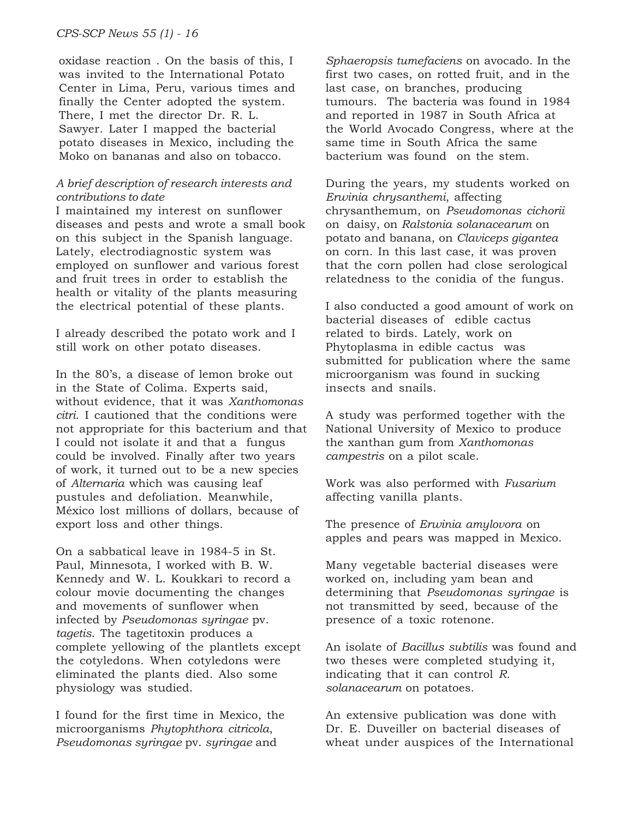oxidase reaction . On the basis of this, I was invited to the International Potato Center in Lima, Peru, various times and finally the Center adopted the system. There, I met the director Dr. R. L. Sawyer. Later I mapped the bacterial potato diseases in Mexico, including the Moko on bananas and also on tobacco.

#### *A brief description of research interests and contributions to date*

I maintained my interest on sunflower diseases and pests and wrote a small book on this subject in the Spanish language. Lately, electrodiagnostic system was employed on sunflower and various forest and fruit trees in order to establish the health or vitality of the plants measuring the electrical potential of these plants.

I already described the potato work and I still work on other potato diseases.

In the 80's, a disease of lemon broke out in the State of Colima. Experts said, without evidence, that it was *Xanthomonas citri*. I cautioned that the conditions were not appropriate for this bacterium and that I could not isolate it and that a fungus could be involved. Finally after two years of work, it turned out to be a new species of *Alternaria* which was causing leaf pustules and defoliation. Meanwhile, México lost millions of dollars, because of export loss and other things.

On a sabbatical leave in 1984-5 in St. Paul, Minnesota, I worked with B. W. Kennedy and W. L. Koukkari to record a colour movie documenting the changes and movements of sunflower when infected by *Pseudomonas syringae* pv. *tagetis*. The tagetitoxin produces a complete yellowing of the plantlets except the cotyledons. When cotyledons were eliminated the plants died. Also some physiology was studied.

I found for the first time in Mexico, the microorganisms *Phytophthora citricola*, *Pseudomonas syringae* pv. *syringae* and

*Sphaeropsis tumefaciens* on avocado. In the first two cases, on rotted fruit, and in the last case, on branches, producing tumours. The bacteria was found in 1984 and reported in 1987 in South Africa at the World Avocado Congress, where at the same time in South Africa the same bacterium was found on the stem.

During the years, my students worked on *Erwinia chrysanthemi*, affecting chrysanthemum, on *Pseudomonas cichorii* on daisy, on *Ralstonia solanacearum* on potato and banana, on *Claviceps gigantea* on corn. In this last case, it was proven that the corn pollen had close serological relatedness to the conidia of the fungus.

I also conducted a good amount of work on bacterial diseases of edible cactus related to birds. Lately, work on Phytoplasma in edible cactus was submitted for publication where the same microorganism was found in sucking insects and snails.

A study was performed together with the National University of Mexico to produce the xanthan gum from *Xanthomonas campestris* on a pilot scale.

Work was also performed with *Fusarium* affecting vanilla plants.

The presence of *Erwinia amylovora* on apples and pears was mapped in Mexico.

Many vegetable bacterial diseases were worked on, including yam bean and determining that *Pseudomonas syringae* is not transmitted by seed, because of the presence of a toxic rotenone.

An isolate of *Bacillus subtilis* was found and two theses were completed studying it, indicating that it can control *R. solanacearum* on potatoes.

An extensive publication was done with Dr. E. Duveiller on bacterial diseases of wheat under auspices of the International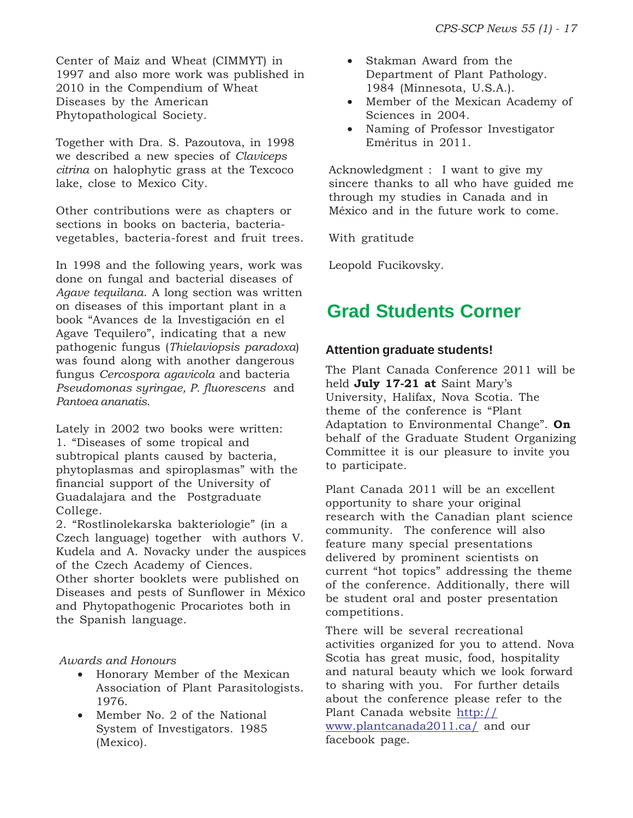Center of Maiz and Wheat (CIMMYT) in 1997 and also more work was published in 2010 in the Compendium of Wheat Diseases by the American Phytopathological Society.

Together with Dra. S. Pazoutova, in 1998 we described a new species of *Claviceps citrina* on halophytic grass at the Texcoco lake, close to Mexico City.

Other contributions were as chapters or sections in books on bacteria, bacteriavegetables, bacteria-forest and fruit trees.

In 1998 and the following years, work was done on fungal and bacterial diseases of *Agave tequilana*. A long section was written on diseases of this important plant in a book "Avances de la Investigación en el Agave Tequilero", indicating that a new pathogenic fungus (*Thielaviopsis paradoxa*) was found along with another dangerous fungus *Cercospora agavicola* and bacteria *Pseudomonas syringae, P. fluorescens* and *Pantoea ananatis*.

Lately in 2002 two books were written: 1. "Diseases of some tropical and subtropical plants caused by bacteria, phytoplasmas and spiroplasmas" with the financial support of the University of Guadalajara and the Postgraduate College.

2. "Rostlinolekarska bakteriologie" (in a Czech language) together with authors V. Kudela and A. Novacky under the auspices of the Czech Academy of Ciences. Other shorter booklets were published on Diseases and pests of Sunflower in México and Phytopathogenic Procariotes both in the Spanish language.

#### *Awards and Honours*

- Honorary Member of the Mexican Association of Plant Parasitologists. 1976.
- Member No. 2 of the National System of Investigators. 1985 (Mexico).
- Stakman Award from the Department of Plant Pathology. 1984 (Minnesota, U.S.A.).
- Member of the Mexican Academy of Sciences in 2004.
- Naming of Professor Investigator Eméritus in 2011.

Acknowledgment : I want to give my sincere thanks to all who have guided me through my studies in Canada and in México and in the future work to come.

With gratitude

Leopold Fucikovsky.

## **Grad Students Corner**

#### **Attention graduate students!**

The Plant Canada Conference 2011 will be held **July 17-21 at** Saint Mary's University, Halifax, Nova Scotia. The theme of the conference is "Plant Adaptation to Environmental Change". **On** behalf of the Graduate Student Organizing Committee it is our pleasure to invite you to participate.

Plant Canada 2011 will be an excellent opportunity to share your original research with the Canadian plant science community. The conference will also feature many special presentations delivered by prominent scientists on current "hot topics" addressing the theme of the conference. Additionally, there will be student oral and poster presentation competitions.

There will be several recreational activities organized for you to attend. Nova Scotia has great music, food, hospitality and natural beauty which we look forward to sharing with you. For further details about the conference please refer to the Plant Canada website http:// www.plantcanada2011.ca/ and our facebook page.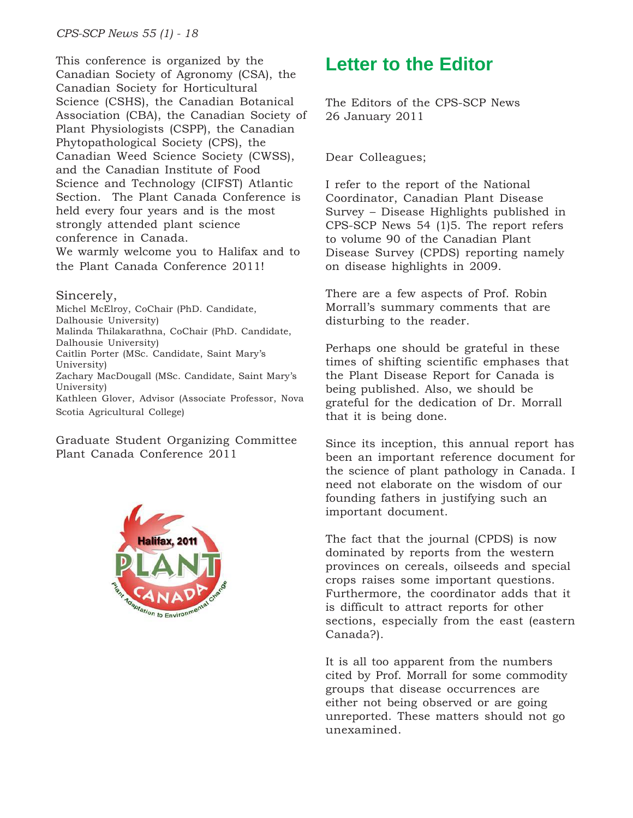This conference is organized by the Canadian Society of Agronomy (CSA), the Canadian Society for Horticultural Science (CSHS), the Canadian Botanical Association (CBA), the Canadian Society of Plant Physiologists (CSPP), the Canadian Phytopathological Society (CPS), the Canadian Weed Science Society (CWSS), and the Canadian Institute of Food Science and Technology (CIFST) Atlantic Section. The Plant Canada Conference is held every four years and is the most strongly attended plant science conference in Canada. We warmly welcome you to Halifax and to the Plant Canada Conference 2011!

#### Sincerely,

Michel McElroy, CoChair (PhD. Candidate, Dalhousie University) Malinda Thilakarathna, CoChair (PhD. Candidate, Dalhousie University) Caitlin Porter (MSc. Candidate, Saint Mary's University) Zachary MacDougall (MSc. Candidate, Saint Mary's University) Kathleen Glover, Advisor (Associate Professor, Nova Scotia Agricultural College)

Graduate Student Organizing Committee Plant Canada Conference 2011



## **Letter to the Editor**

The Editors of the CPS-SCP News 26 January 2011

#### Dear Colleagues;

I refer to the report of the National Coordinator, Canadian Plant Disease Survey – Disease Highlights published in CPS-SCP News 54 (1)5. The report refers to volume 90 of the Canadian Plant Disease Survey (CPDS) reporting namely on disease highlights in 2009.

There are a few aspects of Prof. Robin Morrall's summary comments that are disturbing to the reader.

Perhaps one should be grateful in these times of shifting scientific emphases that the Plant Disease Report for Canada is being published. Also, we should be grateful for the dedication of Dr. Morrall that it is being done.

Since its inception, this annual report has been an important reference document for the science of plant pathology in Canada. I need not elaborate on the wisdom of our founding fathers in justifying such an important document.

The fact that the journal (CPDS) is now dominated by reports from the western provinces on cereals, oilseeds and special crops raises some important questions. Furthermore, the coordinator adds that it is difficult to attract reports for other sections, especially from the east (eastern Canada?).

It is all too apparent from the numbers cited by Prof. Morrall for some commodity groups that disease occurrences are either not being observed or are going unreported. These matters should not go unexamined.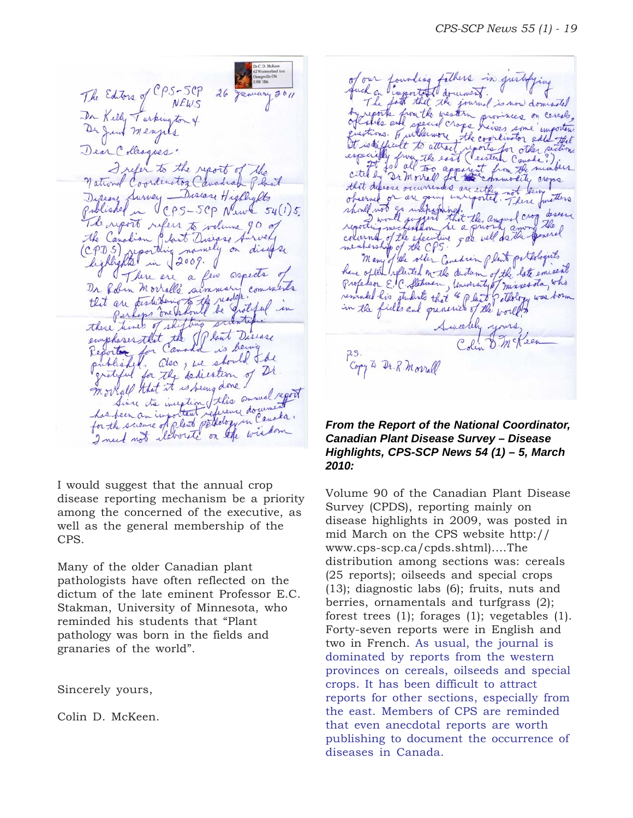The Editors of CPS-SCP<br>Dr Killy Turkington +<br>De Junt Mengels 26 January 2011 Dear Colleagues. I refer to the report of the national Coordinator Canadian Plant Disease Survey - Disease Highlylts Published in CPS-5CP News 54(1)5. The report refers to volume 90 of the Canadian Glast Disease Aurvey (CPDS) syporthing namely on disease highlights in 2009. De form morrallé sur mary comme De folin Morrall's summary comments<br>that are testuburity the reader of which in these times of shifting scientific<br>emphases that the If last Disease suistif published. also ; we should the grateful for the dedication of Dr morrall that it is being done! Since its inception this annual report Since to inextin this consument

I would suggest that the annual crop disease reporting mechanism be a priority among the concerned of the executive, as well as the general membership of the CPS.

Many of the older Canadian plant pathologists have often reflected on the dictum of the late eminent Professor E.C. Stakman, University of Minnesota, who reminded his students that "Plant pathology was born in the fields and granaries of the world".

Sincerely yours,

Colin D. McKeen.

of our founding fathers in just ch on l'important document. fath that the journal is now dominated reports from the western provinces on cerese, estions. If inthermore the coordinator as finit to attract d attract reports for other sailing cited by a morrel for separate from the numbers that defense occurrences are either not seem should not go unepayming in thit the anguel crop deserve of the efective - as well de the general membership of the CPS. Many of the other Constrain plant pothologists have often splited on the distan of the late emineat Professor E.C. Stehnen, University of minnesota, who remarked his students that " I last of attorny was born Sincelely yours, Copy to Dr. R. Morrall

#### *From the Report of the National Coordinator, Canadian Plant Disease Survey – Disease Highlights, CPS-SCP News 54 (1) – 5, March 2010:*

Volume 90 of the Canadian Plant Disease Survey (CPDS), reporting mainly on disease highlights in 2009, was posted in mid March on the CPS website http:// www.cps-scp.ca/cpds.shtml)....The distribution among sections was: cereals (25 reports); oilseeds and special crops (13); diagnostic labs (6); fruits, nuts and berries, ornamentals and turfgrass (2); forest trees (1); forages (1); vegetables (1). Forty-seven reports were in English and two in French. As usual, the journal is dominated by reports from the western provinces on cereals, oilseeds and special crops. It has been difficult to attract reports for other sections, especially from the east. Members of CPS are reminded that even anecdotal reports are worth publishing to document the occurrence of diseases in Canada.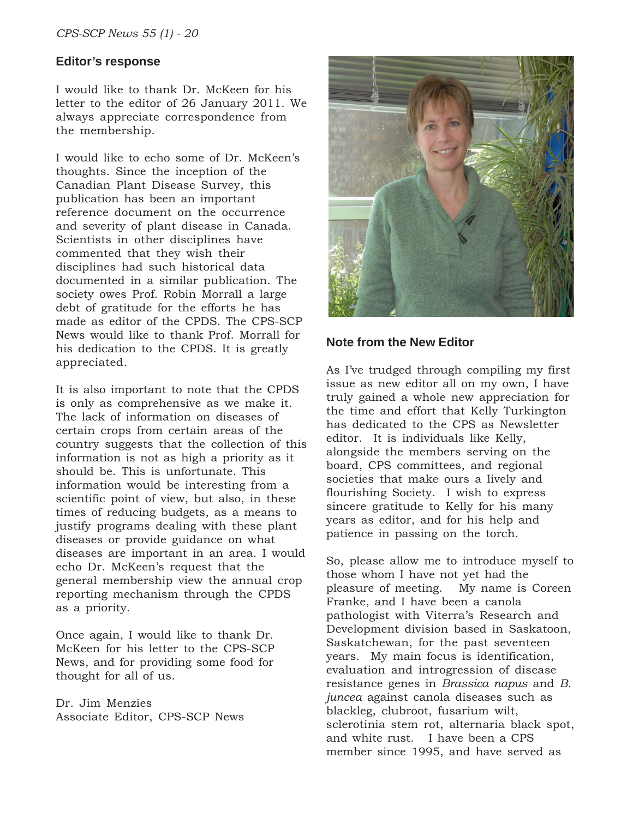#### **Editor's response**

I would like to thank Dr. McKeen for his letter to the editor of 26 January 2011. We always appreciate correspondence from the membership.

I would like to echo some of Dr. McKeen's thoughts. Since the inception of the Canadian Plant Disease Survey, this publication has been an important reference document on the occurrence and severity of plant disease in Canada. Scientists in other disciplines have commented that they wish their disciplines had such historical data documented in a similar publication. The society owes Prof. Robin Morrall a large debt of gratitude for the efforts he has made as editor of the CPDS. The CPS-SCP News would like to thank Prof. Morrall for his dedication to the CPDS. It is greatly appreciated.

It is also important to note that the CPDS is only as comprehensive as we make it. The lack of information on diseases of certain crops from certain areas of the country suggests that the collection of this information is not as high a priority as it should be. This is unfortunate. This information would be interesting from a scientific point of view, but also, in these times of reducing budgets, as a means to justify programs dealing with these plant diseases or provide guidance on what diseases are important in an area. I would echo Dr. McKeen's request that the general membership view the annual crop reporting mechanism through the CPDS as a priority.

Once again, I would like to thank Dr. McKeen for his letter to the CPS-SCP News, and for providing some food for thought for all of us.

Dr. Jim Menzies Associate Editor, CPS-SCP News



#### **Note from the New Editor**

As I've trudged through compiling my first issue as new editor all on my own, I have truly gained a whole new appreciation for the time and effort that Kelly Turkington has dedicated to the CPS as Newsletter editor. It is individuals like Kelly, alongside the members serving on the board, CPS committees, and regional societies that make ours a lively and flourishing Society. I wish to express sincere gratitude to Kelly for his many years as editor, and for his help and patience in passing on the torch.

So, please allow me to introduce myself to those whom I have not yet had the pleasure of meeting. My name is Coreen Franke, and I have been a canola pathologist with Viterra's Research and Development division based in Saskatoon, Saskatchewan, for the past seventeen years. My main focus is identification, evaluation and introgression of disease resistance genes in *Brassica napus* and *B. juncea* against canola diseases such as blackleg, clubroot, fusarium wilt, sclerotinia stem rot, alternaria black spot, and white rust. I have been a CPS member since 1995, and have served as